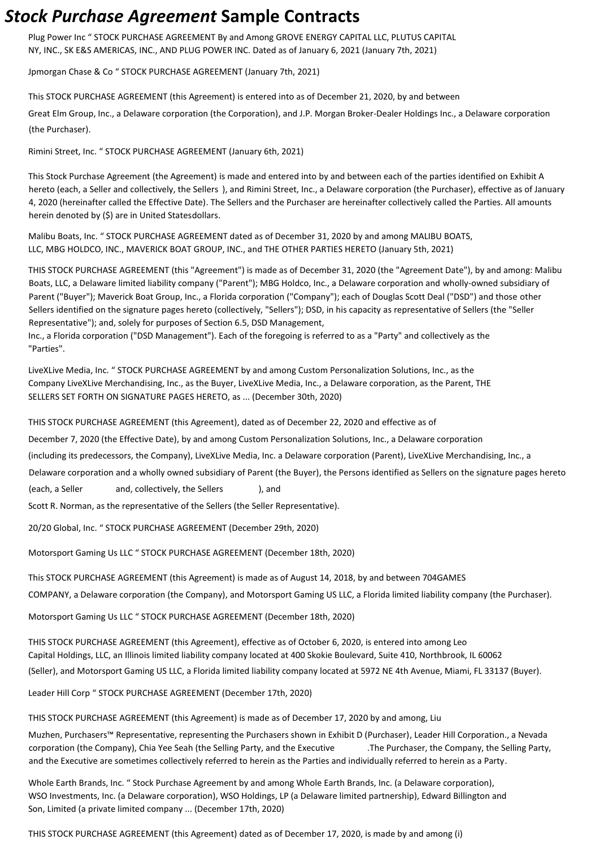## *Stock Purchase Agreement* **Sample Contracts**

Plug Power Inc " STOCK PURCHASE AGREEMENT By and Among GROVE ENERGY CAPITAL LLC, PLUTUS CAPITAL NY, INC., SK E&S AMERICAS, INC., AND PLUG POWER INC. Dated as of January 6, 2021 (January 7th, 2021)

Jpmorgan Chase & Co " STOCK PURCHASE AGREEMENT (January 7th, 2021)

This STOCK PURCHASE AGREEMENT (this Agreement) is entered into as of December 21, 2020, by and between

Great Elm Group, Inc., a Delaware corporation (the Corporation), and J.P. Morgan Broker-Dealer Holdings Inc., a Delaware corporation (the Purchaser).

Rimini Street, Inc. " STOCK PURCHASE AGREEMENT (January 6th, 2021)

This Stock Purchase Agreement (the Agreement) is made and entered into by and between each of the parties identified on Exhibit A hereto (each, a Seller and collectively, the Sellers ), and Rimini Street, Inc., a Delaware corporation (the Purchaser), effective as of January 4, 2020 (hereinafter called the Effective Date). The Sellers and the Purchaser are hereinafter collectively called the Parties. All amounts herein denoted by (\$) are in United Statesdollars.

Malibu Boats, Inc. " STOCK PURCHASE AGREEMENT dated as of December 31, 2020 by and among MALIBU BOATS, LLC, MBG HOLDCO, INC., MAVERICK BOAT GROUP, INC., and THE OTHER PARTIES HERETO (January 5th, 2021)

THIS STOCK PURCHASE AGREEMENT (this "Agreement") is made as of December 31, 2020 (the "Agreement Date"), by and among: Malibu Boats, LLC, a Delaware limited liability company ("Parent"); MBG Holdco, Inc., a Delaware corporation and wholly-owned subsidiary of Parent ("Buyer"); Maverick Boat Group, Inc., a Florida corporation ("Company"); each of Douglas Scott Deal ("DSD") and those other Sellers identified on the signature pages hereto (collectively, "Sellers"); DSD, in his capacity as representative of Sellers (the "Seller Representative"); and, solely for purposes of Section 6.5, DSD Management,

Inc., a Florida corporation ("DSD Management"). Each of the foregoing is referred to as a "Party" and collectively as the "Parties".

LiveXLive Media, Inc. " STOCK PURCHASE AGREEMENT by and among Custom Personalization Solutions, Inc., as the Company LiveXLive Merchandising, Inc., as the Buyer, LiveXLive Media, Inc., a Delaware corporation, as the Parent, THE SELLERS SET FORTH ON SIGNATURE PAGES HERETO, as ... (December 30th, 2020)

THIS STOCK PURCHASE AGREEMENT (this Agreement), dated as of December 22, 2020 and effective as of

December 7, 2020 (the Effective Date), by and among Custom Personalization Solutions, Inc., a Delaware corporation

(including its predecessors, the Company), LiveXLive Media, Inc. a Delaware corporation (Parent), LiveXLive Merchandising, Inc., a

Delaware corporation and a wholly owned subsidiary of Parent (the Buyer), the Persons identified as Sellers on the signature pages hereto

(each, a Seller and, collectively, the Sellers ), and

Scott R. Norman, as the representative of the Sellers (the Seller Representative).

20/20 Global, Inc. " STOCK PURCHASE AGREEMENT (December 29th, 2020)

Motorsport Gaming Us LLC " STOCK PURCHASE AGREEMENT (December 18th, 2020)

This STOCK PURCHASE AGREEMENT (this Agreement) is made as of August 14, 2018, by and between 704GAMES

COMPANY, a Delaware corporation (the Company), and Motorsport Gaming US LLC, a Florida limited liability company (the Purchaser).

Motorsport Gaming Us LLC " STOCK PURCHASE AGREEMENT (December 18th, 2020)

THIS STOCK PURCHASE AGREEMENT (this Agreement), effective as of October 6, 2020, is entered into among Leo Capital Holdings, LLC, an Illinois limited liability company located at 400 Skokie Boulevard, Suite 410, Northbrook, IL 60062 (Seller), and Motorsport Gaming US LLC, a Florida limited liability company located at 5972 NE 4th Avenue, Miami, FL 33137 (Buyer).

Leader Hill Corp " STOCK PURCHASE AGREEMENT (December 17th, 2020)

THIS STOCK PURCHASE AGREEMENT (this Agreement) is made as of December 17, 2020 by and among, Liu

Muzhen, Purchasers™ Representative, representing the Purchasers shown in Exhibit D (Purchaser), Leader Hill Corporation., a Nevada corporation (the Company), Chia Yee Seah (the Selling Party, and the Executive .The Purchaser, the Company, the Selling Party, and the Executive are sometimes collectively referred to herein as the Parties and individually referred to herein as a Party.

Whole Earth Brands, Inc. " Stock Purchase Agreement by and among Whole Earth Brands, Inc. (a Delaware corporation), WSO Investments, Inc. (a Delaware corporation), WSO Holdings, LP (a Delaware limited partnership), Edward Billington and Son, Limited (a private limited company ... (December 17th, 2020)

THIS STOCK PURCHASE AGREEMENT (this Agreement) dated as of December 17, 2020, is made by and among (i)